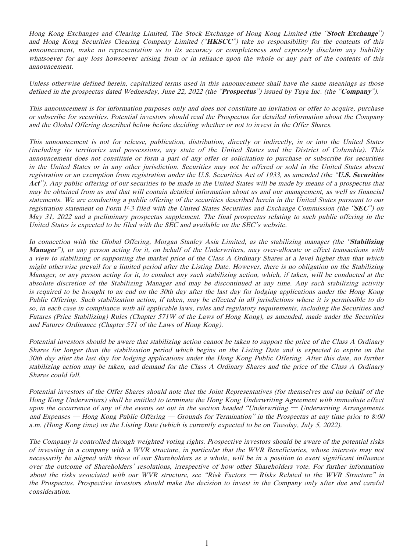Hong Kong Exchanges and Clearing Limited, The Stock Exchange of Hong Kong Limited (the "**Stock Exchange**") and Hong Kong Securities Clearing Company Limited ("**HKSCC**") take no responsibility for the contents of this announcement, make no representation as to its accuracy or completeness and expressly disclaim any liability whatsoever for any loss howsoever arising from or in reliance upon the whole or any part of the contents of this announcement.

Unless otherwise defined herein, capitalized terms used in this announcement shall have the same meanings as those defined in the prospectus dated Wednesday, June 22, 2022 (the "**Prospectus**") issued by Tuya Inc. (the "**Company**").

This announcement is for information purposes only and does not constitute an invitation or offer to acquire, purchase or subscribe for securities. Potential investors should read the Prospectus for detailed information about the Company and the Global Offering described below before deciding whether or not to invest in the Offer Shares.

This announcement is not for release, publication, distribution, directly or indirectly, in or into the United States (including its territories and possessions, any state of the United States and the District of Columbia). This announcement does not constitute or form a part of any offer or solicitation to purchase or subscribe for securities in the United States or in any other jurisdiction. Securities may not be offered or sold in the United States absent registration or an exemption from registration under the U.S. Securities Act of 1933, as amended (the "**U.S. Securities Act**"). Any public offering of our securities to be made in the United States will be made by means of a prospectus that may be obtained from us and that will contain detailed information about us and our management, as well as financial statements. We are conducting a public offering of the securities described herein in the United States pursuant to our registration statement on Form F-3 filed with the United States Securities and Exchange Commission (the "**SEC**") on May 31, 2022 and a preliminary prospectus supplement. The final prospectus relating to such public offering in the United States is expected to be filed with the SEC and available on the SEC's website.

In connection with the Global Offering, Morgan Stanley Asia Limited, as the stabilizing manager (the "**Stabilizing Manager**"), or any person acting for it, on behalf of the Underwriters, may over-allocate or effect transactions with a view to stabilizing or supporting the market price of the Class A Ordinary Shares at a level higher than that which might otherwise prevail for a limited period after the Listing Date. However, there is no obligation on the Stabilizing Manager, or any person acting for it, to conduct any such stabilizing action, which, if taken, will be conducted at the absolute discretion of the Stabilizing Manager and may be discontinued at any time. Any such stabilizing activity is required to be brought to an end on the 30th day after the last day for lodging applications under the Hong Kong Public Offering. Such stabilization action, if taken, may be effected in all jurisdictions where it is permissible to do so, in each case in compliance with all applicable laws, rules and regulatory requirements, including the Securities and Futures (Price Stabilizing) Rules (Chapter 571W of the Laws of Hong Kong), as amended, made under the Securities and Futures Ordinance (Chapter 571 of the Laws of Hong Kong).

Potential investors should be aware that stabilizing action cannot be taken to support the price of the Class A Ordinary Shares for longer than the stabilization period which begins on the Listing Date and is expected to expire on the 30th day after the last day for lodging applications under the Hong Kong Public Offering. After this date, no further stabilizing action may be taken, and demand for the Class A Ordinary Shares and the price of the Class A Ordinary Shares could fall.

Potential investors of the Offer Shares should note that the Joint Representatives (for themselves and on behalf of the Hong Kong Underwriters) shall be entitled to terminate the Hong Kong Underwriting Agreement with immediate effect upon the occurrence of any of the events set out in the section headed "Underwriting  $-$  Underwriting Arrangements and Expenses — Hong Kong Public Offering — Grounds for Termination" in the Prospectus at any time prior to 8:00 a.m. (Hong Kong time) on the Listing Date (which is currently expected to be on Tuesday, July 5, 2022).

The Company is controlled through weighted voting rights. Prospective investors should be aware of the potential risks of investing in a company with a WVR structure, in particular that the WVR Beneficiaries, whose interests may not necessarily be aligned with those of our Shareholders as a whole, will be in a position to exert significant influence over the outcome of Shareholders' resolutions, irrespective of how other Shareholders vote. For further information about the risks associated with our WVR structure, see "Risk Factors  $-$  Risks Related to the WVR Structure" in the Prospectus. Prospective investors should make the decision to invest in the Company only after due and careful consideration.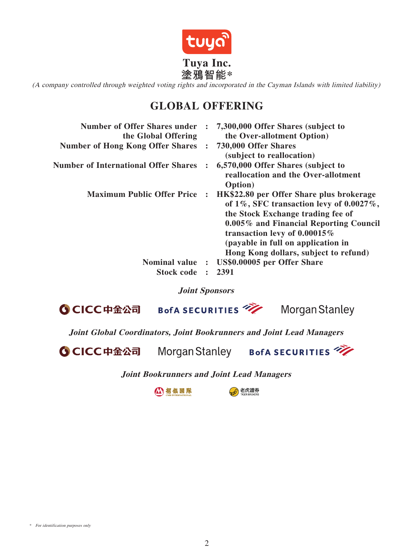

(A company controlled through weighted voting rights and incorporated in the Cayman Islands with limited liability)

# **GLOBAL OFFERING**

| <b>Number of Offer Shares under</b><br>the Global Offering | $\ddot{\cdot}$ | 7,300,000 Offer Shares (subject to<br>the Over-allotment Option)                                                                                                                                                                                                                             |
|------------------------------------------------------------|----------------|----------------------------------------------------------------------------------------------------------------------------------------------------------------------------------------------------------------------------------------------------------------------------------------------|
| <b>Number of Hong Kong Offer Shares</b>                    |                | 730,000 Offer Shares<br>(subject to reallocation)                                                                                                                                                                                                                                            |
| <b>Number of International Offer Shares</b>                |                | 6,570,000 Offer Shares (subject to<br>reallocation and the Over-allotment<br><b>Option</b> )                                                                                                                                                                                                 |
| <b>Maximum Public Offer Price</b>                          |                | HK\$22.80 per Offer Share plus brokerage<br>of $1\%$ , SFC transaction levy of $0.0027\%$ ,<br>the Stock Exchange trading fee of<br>0.005% and Financial Reporting Council<br>transaction levy of $0.00015\%$<br>(payable in full on application in<br>Hong Kong dollars, subject to refund) |
| Nominal value :                                            |                | US\$0.00005 per Offer Share                                                                                                                                                                                                                                                                  |
| <b>Stock code</b>                                          | $\ddot{\cdot}$ | 2391                                                                                                                                                                                                                                                                                         |

**Joint Sponsors**

BofA SECURITIES **Morgan Stanley O CICC中金公司** 

**Joint Global Coordinators, Joint Bookrunners and Joint Lead Managers**

**O CICC中金公司** 

Morgan Stanley

BofA SECURITIES

**Joint Bookrunners and Joint Lead Managers**

公招银国际

B 老虎證券

\* For identification purposes only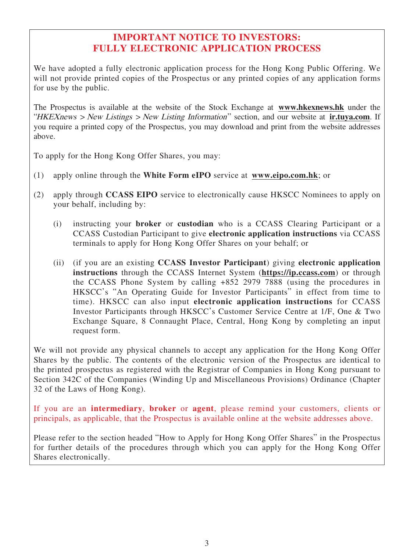# **IMPORTANT NOTICE TO INVESTORS: FULLY ELECTRONIC APPLICATION PROCESS**

We have adopted a fully electronic application process for the Hong Kong Public Offering. We will not provide printed copies of the Prospectus or any printed copies of any application forms for use by the public.

The Prospectus is available at the website of the Stock Exchange at **www.hkexnews.hk** under the "HKEXnews > New Listings > New Listing Information" section, and our website at **ir.tuya.com**. If you require a printed copy of the Prospectus, you may download and print from the website addresses above.

To apply for the Hong Kong Offer Shares, you may:

- (1) apply online through the **White Form eIPO** service at **www.eipo.com.hk**; or
- (2) apply through **CCASS EIPO** service to electronically cause HKSCC Nominees to apply on your behalf, including by:
	- (i) instructing your **broker** or **custodian** who is a CCASS Clearing Participant or a CCASS Custodian Participant to give **electronic application instructions** via CCASS terminals to apply for Hong Kong Offer Shares on your behalf; or
	- (ii) (if you are an existing **CCASS Investor Participant**) giving **electronic application instructions** through the CCASS Internet System (**https://ip.ccass.com**) or through the CCASS Phone System by calling +852 2979 7888 (using the procedures in HKSCC's "An Operating Guide for Investor Participants" in effect from time to time). HKSCC can also input **electronic application instructions** for CCASS Investor Participants through HKSCC's Customer Service Centre at 1/F, One & Two Exchange Square, 8 Connaught Place, Central, Hong Kong by completing an input request form.

We will not provide any physical channels to accept any application for the Hong Kong Offer Shares by the public. The contents of the electronic version of the Prospectus are identical to the printed prospectus as registered with the Registrar of Companies in Hong Kong pursuant to Section 342C of the Companies (Winding Up and Miscellaneous Provisions) Ordinance (Chapter 32 of the Laws of Hong Kong).

If you are an **intermediary**, **broker** or **agent**, please remind your customers, clients or principals, as applicable, that the Prospectus is available online at the website addresses above.

Please refer to the section headed "How to Apply for Hong Kong Offer Shares" in the Prospectus for further details of the procedures through which you can apply for the Hong Kong Offer Shares electronically.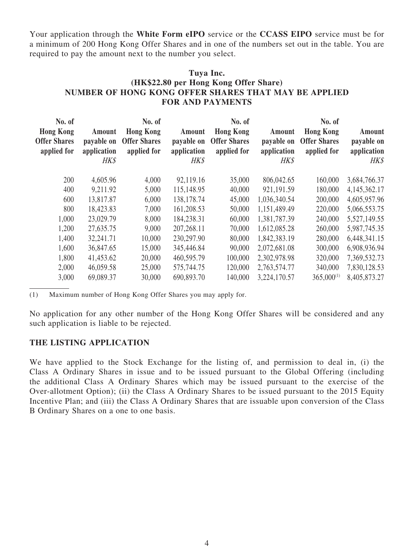Your application through the **White Form eIPO** service or the **CCASS EIPO** service must be for a minimum of 200 Hong Kong Offer Shares and in one of the numbers set out in the table. You are required to pay the amount next to the number you select.

# **Tuya Inc. (HK\$22.80 per Hong Kong Offer Share) NUMBER OF HONG KONG OFFER SHARES THAT MAY BE APPLIED FOR AND PAYMENTS**

| No. of<br><b>Hong Kong</b><br><b>Offer Shares</b><br>applied for | Amount<br>payable on<br>application<br>HK\$ | No. of<br><b>Hong Kong</b><br><b>Offer Shares</b><br>applied for | Amount<br>payable on<br>application<br>HK\$ | No. of<br><b>Hong Kong</b><br><b>Offer Shares</b><br>applied for | Amount<br>payable on<br>application<br>HK\$ | No. of<br><b>Hong Kong</b><br><b>Offer Shares</b><br>applied for | Amount<br>payable on<br>application<br>HK\$ |
|------------------------------------------------------------------|---------------------------------------------|------------------------------------------------------------------|---------------------------------------------|------------------------------------------------------------------|---------------------------------------------|------------------------------------------------------------------|---------------------------------------------|
| 200                                                              | 4,605.96                                    | 4,000                                                            | 92,119.16                                   | 35,000                                                           | 806,042.65                                  | 160,000                                                          | 3,684,766.37                                |
| 400                                                              | 9,211.92                                    | 5,000                                                            | 115,148.95                                  | 40,000                                                           | 921,191.59                                  | 180,000                                                          | 4,145,362.17                                |
| 600                                                              | 13,817.87                                   | 6,000                                                            | 138, 178. 74                                | 45,000                                                           | 1,036,340.54                                | 200,000                                                          | 4,605,957.96                                |
| 800                                                              | 18,423.83                                   | 7,000                                                            | 161,208.53                                  | 50,000                                                           | 1,151,489.49                                | 220,000                                                          | 5,066,553.75                                |
| 1,000                                                            | 23,029.79                                   | 8,000                                                            | 184,238.31                                  | 60,000                                                           | 1,381,787.39                                | 240,000                                                          | 5,527,149.55                                |
| 1,200                                                            | 27,635.75                                   | 9,000                                                            | 207, 268.11                                 | 70,000                                                           | 1,612,085.28                                | 260,000                                                          | 5,987,745.35                                |
| 1,400                                                            | 32,241.71                                   | 10,000                                                           | 230,297.90                                  | 80,000                                                           | 1,842,383.19                                | 280,000                                                          | 6,448,341.15                                |
| 1,600                                                            | 36,847.65                                   | 15,000                                                           | 345,446.84                                  | 90,000                                                           | 2,072,681.08                                | 300,000                                                          | 6,908,936.94                                |
| 1,800                                                            | 41,453.62                                   | 20,000                                                           | 460,595.79                                  | 100,000                                                          | 2,302,978.98                                | 320,000                                                          | 7,369,532.73                                |
| 2,000                                                            | 46,059.58                                   | 25,000                                                           | 575,744.75                                  | 120,000                                                          | 2,763,574.77                                | 340,000                                                          | 7,830,128.53                                |
| 3,000                                                            | 69,089.37                                   | 30,000                                                           | 690,893.70                                  | 140,000                                                          | 3,224,170.57                                | $365,000^{(1)}$                                                  | 8,405,873.27                                |

(1) Maximum number of Hong Kong Offer Shares you may apply for.

No application for any other number of the Hong Kong Offer Shares will be considered and any such application is liable to be rejected.

#### **THE LISTING APPLICATION**

We have applied to the Stock Exchange for the listing of, and permission to deal in, (i) the Class A Ordinary Shares in issue and to be issued pursuant to the Global Offering (including the additional Class A Ordinary Shares which may be issued pursuant to the exercise of the Over-allotment Option); (ii) the Class A Ordinary Shares to be issued pursuant to the 2015 Equity Incentive Plan; and (iii) the Class A Ordinary Shares that are issuable upon conversion of the Class B Ordinary Shares on a one to one basis.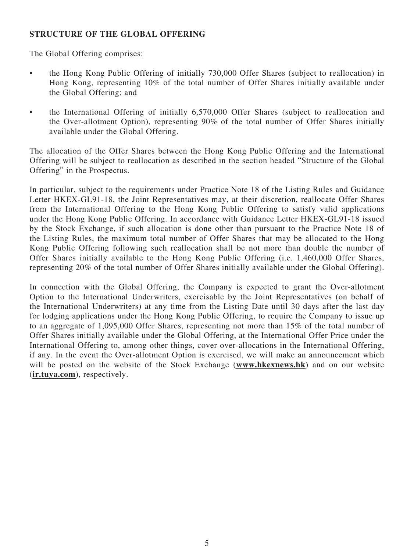# **STRUCTURE OF THE GLOBAL OFFERING**

The Global Offering comprises:

- the Hong Kong Public Offering of initially 730,000 Offer Shares (subject to reallocation) in Hong Kong, representing 10% of the total number of Offer Shares initially available under the Global Offering; and
- the International Offering of initially 6,570,000 Offer Shares (subject to reallocation and the Over-allotment Option), representing 90% of the total number of Offer Shares initially available under the Global Offering.

The allocation of the Offer Shares between the Hong Kong Public Offering and the International Offering will be subject to reallocation as described in the section headed "Structure of the Global Offering" in the Prospectus.

In particular, subject to the requirements under Practice Note 18 of the Listing Rules and Guidance Letter HKEX-GL91-18, the Joint Representatives may, at their discretion, reallocate Offer Shares from the International Offering to the Hong Kong Public Offering to satisfy valid applications under the Hong Kong Public Offering. In accordance with Guidance Letter HKEX-GL91-18 issued by the Stock Exchange, if such allocation is done other than pursuant to the Practice Note 18 of the Listing Rules, the maximum total number of Offer Shares that may be allocated to the Hong Kong Public Offering following such reallocation shall be not more than double the number of Offer Shares initially available to the Hong Kong Public Offering (i.e. 1,460,000 Offer Shares, representing 20% of the total number of Offer Shares initially available under the Global Offering).

In connection with the Global Offering, the Company is expected to grant the Over-allotment Option to the International Underwriters, exercisable by the Joint Representatives (on behalf of the International Underwriters) at any time from the Listing Date until 30 days after the last day for lodging applications under the Hong Kong Public Offering, to require the Company to issue up to an aggregate of 1,095,000 Offer Shares, representing not more than 15% of the total number of Offer Shares initially available under the Global Offering, at the International Offer Price under the International Offering to, among other things, cover over-allocations in the International Offering, if any. In the event the Over-allotment Option is exercised, we will make an announcement which will be posted on the website of the Stock Exchange (**www.hkexnews.hk**) and on our website (**ir.tuya.com**), respectively.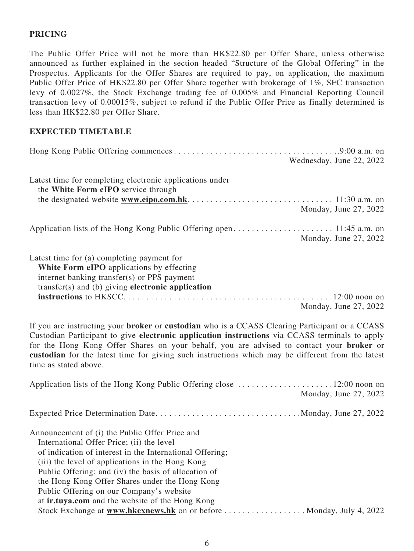# **PRICING**

The Public Offer Price will not be more than HK\$22.80 per Offer Share, unless otherwise announced as further explained in the section headed "Structure of the Global Offering" in the Prospectus. Applicants for the Offer Shares are required to pay, on application, the maximum Public Offer Price of HK\$22.80 per Offer Share together with brokerage of 1%, SFC transaction levy of 0.0027%, the Stock Exchange trading fee of 0.005% and Financial Reporting Council transaction levy of 0.00015%, subject to refund if the Public Offer Price as finally determined is less than HK\$22.80 per Offer Share.

#### **EXPECTED TIMETABLE**

|                                                                                                                                                                                                    | Wednesday, June 22, 2022 |
|----------------------------------------------------------------------------------------------------------------------------------------------------------------------------------------------------|--------------------------|
| Latest time for completing electronic applications under<br>the White Form eIPO service through                                                                                                    | Monday, June 27, 2022    |
|                                                                                                                                                                                                    | Monday, June 27, 2022    |
| Latest time for (a) completing payment for<br><b>White Form eIPO</b> applications by effecting<br>internet banking transfer(s) or PPS payment<br>transfer(s) and (b) giving electronic application | Monday, June 27, 2022    |

If you are instructing your **broker** or **custodian** who is a CCASS Clearing Participant or a CCASS Custodian Participant to give **electronic application instructions** via CCASS terminals to apply for the Hong Kong Offer Shares on your behalf, you are advised to contact your **broker** or **custodian** for the latest time for giving such instructions which may be different from the latest time as stated above.

|                                                                      | Monday, June 27, 2022 |
|----------------------------------------------------------------------|-----------------------|
| Expected Price Determination DateMonday, June 27, 2022               |                       |
| Announcement of (i) the Public Offer Price and                       |                       |
| International Offer Price; (ii) the level                            |                       |
| of indication of interest in the International Offering;             |                       |
| (iii) the level of applications in the Hong Kong                     |                       |
| Public Offering; and (iv) the basis of allocation of                 |                       |
| the Hong Kong Offer Shares under the Hong Kong                       |                       |
| Public Offering on our Company's website                             |                       |
| at <b>ir.tuya.com</b> and the website of the Hong Kong               |                       |
| Stock Exchange at www.hkexnews.hk on or before  Monday, July 4, 2022 |                       |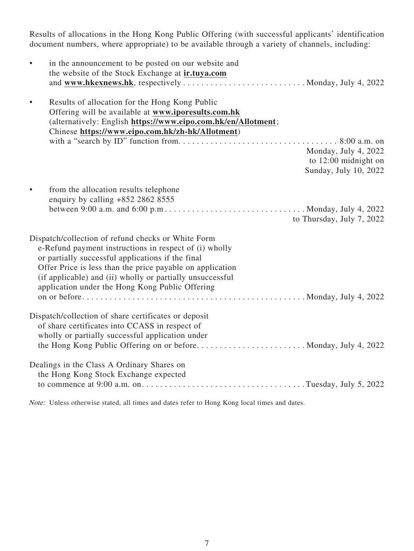Results of allocations in the Hong Kong Public Offering (with successful applicants' identification document numbers, where appropriate) to be available through a variety of channels, including:

| $\bullet$ | in the announcement to be posted on our website and                                                                  |
|-----------|----------------------------------------------------------------------------------------------------------------------|
|           | the website of the Stock Exchange at ir.tuya.com                                                                     |
|           |                                                                                                                      |
| $\bullet$ | Results of allocation for the Hong Kong Public                                                                       |
|           | Offering will be available at www.iporesults.com.hk                                                                  |
|           | (alternatively: English https://www.eipo.com.hk/en/Allotment;                                                        |
|           | Chinese https://www.eipo.com.hk/zh-hk/Allotment)                                                                     |
|           |                                                                                                                      |
|           | Monday, July 4, 2022                                                                                                 |
|           | to $12:00$ midnight on                                                                                               |
|           | Sunday, July 10, 2022                                                                                                |
| $\bullet$ | from the allocation results telephone                                                                                |
|           | enquiry by calling $+852$ 2862 8555                                                                                  |
|           | between 9:00 a.m. and 6:00 p.m. $\dots \dots \dots \dots \dots \dots \dots \dots \dots \dots$ . Monday, July 4, 2022 |
|           | to Thursday, July 7, 2022                                                                                            |
|           | Dispatch/collection of refund checks or White Form                                                                   |
|           | e-Refund payment instructions in respect of (i) wholly                                                               |
|           | or partially successful applications if the final                                                                    |
|           | Offer Price is less than the price payable on application                                                            |
|           | (if applicable) and (ii) wholly or partially unsuccessful                                                            |
|           | application under the Hong Kong Public Offering                                                                      |
|           |                                                                                                                      |
|           | Dispatch/collection of share certificates or deposit                                                                 |
|           | of share certificates into CCASS in respect of                                                                       |
|           | wholly or partially successful application under                                                                     |
|           | the Hong Kong Public Offering on or before Monday, July 4, 2022                                                      |
|           | Dealings in the Class A Ordinary Shares on                                                                           |
|           | the Hong Kong Stock Exchange expected                                                                                |
|           |                                                                                                                      |
|           |                                                                                                                      |

Note: Unless otherwise stated, all times and dates refer to Hong Kong local times and dates.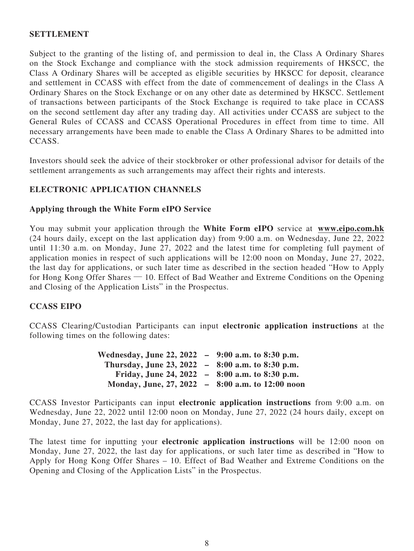# **SETTLEMENT**

Subject to the granting of the listing of, and permission to deal in, the Class A Ordinary Shares on the Stock Exchange and compliance with the stock admission requirements of HKSCC, the Class A Ordinary Shares will be accepted as eligible securities by HKSCC for deposit, clearance and settlement in CCASS with effect from the date of commencement of dealings in the Class A Ordinary Shares on the Stock Exchange or on any other date as determined by HKSCC. Settlement of transactions between participants of the Stock Exchange is required to take place in CCASS on the second settlement day after any trading day. All activities under CCASS are subject to the General Rules of CCASS and CCASS Operational Procedures in effect from time to time. All necessary arrangements have been made to enable the Class A Ordinary Shares to be admitted into CCASS.

Investors should seek the advice of their stockbroker or other professional advisor for details of the settlement arrangements as such arrangements may affect their rights and interests.

# **ELECTRONIC APPLICATION CHANNELS**

#### **Applying through the White Form eIPO Service**

You may submit your application through the **White Form eIPO** service at **www.eipo.com.hk** (24 hours daily, except on the last application day) from 9:00 a.m. on Wednesday, June 22, 2022 until 11:30 a.m. on Monday, June 27, 2022 and the latest time for completing full payment of application monies in respect of such applications will be 12:00 noon on Monday, June 27, 2022, the last day for applications, or such later time as described in the section headed "How to Apply for Hong Kong Offer Shares — 10. Effect of Bad Weather and Extreme Conditions on the Opening and Closing of the Application Lists" in the Prospectus.

#### **CCASS EIPO**

CCASS Clearing/Custodian Participants can input **electronic application instructions** at the following times on the following dates:

| Wednesday, June 22, 2022 – 9:00 a.m. to 8:30 p.m. |  |
|---------------------------------------------------|--|
| Thursday, June 23, 2022 – 8:00 a.m. to 8:30 p.m.  |  |
| Friday, June 24, 2022 - 8:00 a.m. to 8:30 p.m.    |  |
| Monday, June, 27, 2022 - 8:00 a.m. to 12:00 noon  |  |

CCASS Investor Participants can input **electronic application instructions** from 9:00 a.m. on Wednesday, June 22, 2022 until 12:00 noon on Monday, June 27, 2022 (24 hours daily, except on Monday, June 27, 2022, the last day for applications).

The latest time for inputting your **electronic application instructions** will be 12:00 noon on Monday, June 27, 2022, the last day for applications, or such later time as described in "How to Apply for Hong Kong Offer Shares – 10. Effect of Bad Weather and Extreme Conditions on the Opening and Closing of the Application Lists" in the Prospectus.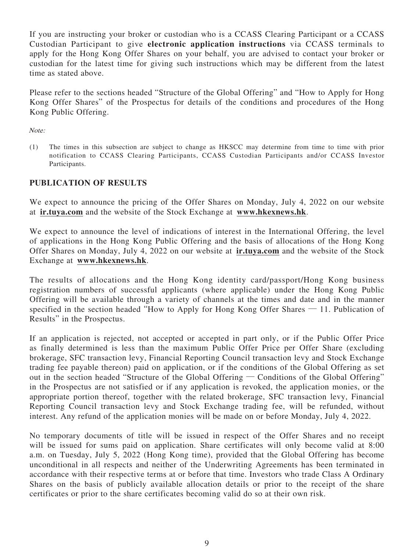If you are instructing your broker or custodian who is a CCASS Clearing Participant or a CCASS Custodian Participant to give **electronic application instructions** via CCASS terminals to apply for the Hong Kong Offer Shares on your behalf, you are advised to contact your broker or custodian for the latest time for giving such instructions which may be different from the latest time as stated above.

Please refer to the sections headed "Structure of the Global Offering" and "How to Apply for Hong Kong Offer Shares" of the Prospectus for details of the conditions and procedures of the Hong Kong Public Offering.

Note:

(1) The times in this subsection are subject to change as HKSCC may determine from time to time with prior notification to CCASS Clearing Participants, CCASS Custodian Participants and/or CCASS Investor Participants.

# **PUBLICATION OF RESULTS**

We expect to announce the pricing of the Offer Shares on Monday, July 4, 2022 on our website at **ir.tuya.com** and the website of the Stock Exchange at **www.hkexnews.hk**.

We expect to announce the level of indications of interest in the International Offering, the level of applications in the Hong Kong Public Offering and the basis of allocations of the Hong Kong Offer Shares on Monday, July 4, 2022 on our website at **ir.tuya.com** and the website of the Stock Exchange at **www.hkexnews.hk**.

The results of allocations and the Hong Kong identity card/passport/Hong Kong business registration numbers of successful applicants (where applicable) under the Hong Kong Public Offering will be available through a variety of channels at the times and date and in the manner specified in the section headed "How to Apply for Hong Kong Offer Shares — 11. Publication of Results" in the Prospectus.

If an application is rejected, not accepted or accepted in part only, or if the Public Offer Price as finally determined is less than the maximum Public Offer Price per Offer Share (excluding brokerage, SFC transaction levy, Financial Reporting Council transaction levy and Stock Exchange trading fee payable thereon) paid on application, or if the conditions of the Global Offering as set out in the section headed "Structure of the Global Offering — Conditions of the Global Offering" in the Prospectus are not satisfied or if any application is revoked, the application monies, or the appropriate portion thereof, together with the related brokerage, SFC transaction levy, Financial Reporting Council transaction levy and Stock Exchange trading fee, will be refunded, without interest. Any refund of the application monies will be made on or before Monday, July 4, 2022.

No temporary documents of title will be issued in respect of the Offer Shares and no receipt will be issued for sums paid on application. Share certificates will only become valid at 8:00 a.m. on Tuesday, July 5, 2022 (Hong Kong time), provided that the Global Offering has become unconditional in all respects and neither of the Underwriting Agreements has been terminated in accordance with their respective terms at or before that time. Investors who trade Class A Ordinary Shares on the basis of publicly available allocation details or prior to the receipt of the share certificates or prior to the share certificates becoming valid do so at their own risk.